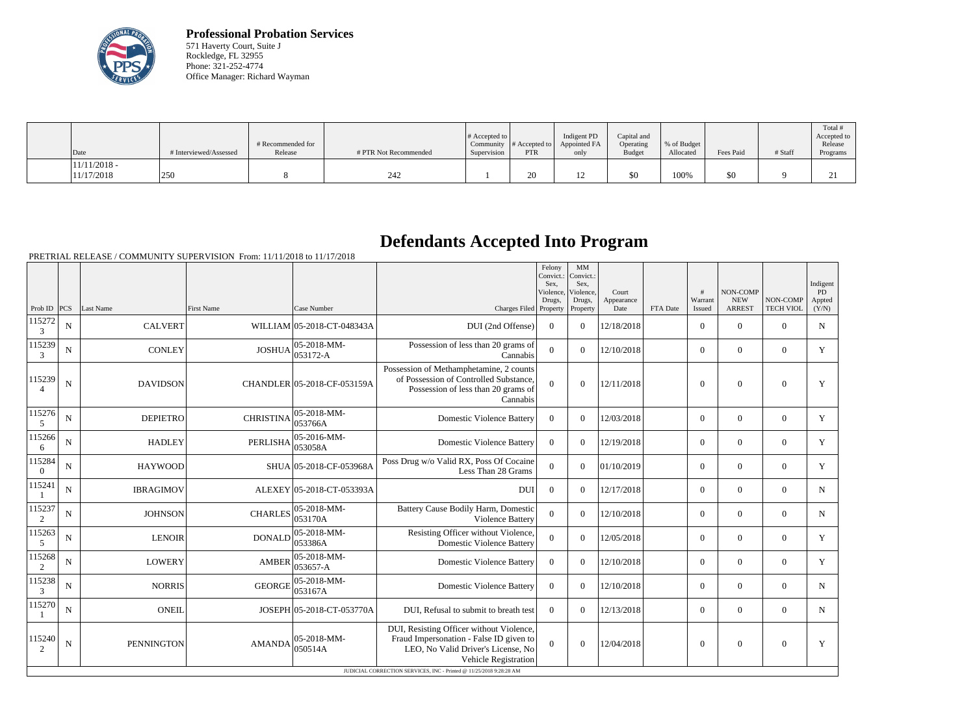

**Professional Probation Services** 571 Haverty Court, Suite J Rockledge, FL 32955 Phone: 321-252-4774 Office Manager: Richard Wayman

| Date                         | # Interviewed/Assessed | # Recommended for<br>Release | # PTR Not Recommended | $\#$ Accepted to<br>Community<br>Supervision | # Accepted to<br><b>PTR</b> | Indigent PD<br>Appointed FA<br>only | Capital and<br>Operating<br>Budget | % of Budget<br>Allocated | Fees Paid | # Staff | Total<br>Accepted to<br>Release<br>Programs |
|------------------------------|------------------------|------------------------------|-----------------------|----------------------------------------------|-----------------------------|-------------------------------------|------------------------------------|--------------------------|-----------|---------|---------------------------------------------|
| $11/11/2018$ -<br>11/17/2018 | 250                    |                              | 242                   |                                              | 20                          | $1^{\wedge}$<br>14                  | \$0                                | 100%                     | \$0       |         | $\sim$<br>$\sim$                            |

## **Defendants Accepted Into Program**

PRETRIAL RELEASE / COMMUNITY SUPERVISION From: 11/11/2018 to 11/17/2018

|                          |             |                   |                   |                               |                                                                                                                                                                                                                          | Felony<br>Convict.:<br>Sex.<br>Violence,<br>Drugs, | $\mathbf{M}\mathbf{M}$<br>Convict.:<br>Sex,<br>Violence,<br>Drugs, | Court<br>Appearance |          | #<br>Warrant     | NON-COMP<br><b>NEW</b> | NON-COMP         | Indigent<br><b>PD</b><br>Appted |
|--------------------------|-------------|-------------------|-------------------|-------------------------------|--------------------------------------------------------------------------------------------------------------------------------------------------------------------------------------------------------------------------|----------------------------------------------------|--------------------------------------------------------------------|---------------------|----------|------------------|------------------------|------------------|---------------------------------|
| Prob ID $ PCS $          |             | Last Name         | <b>First Name</b> | Case Number                   | Charges Filed Property                                                                                                                                                                                                   |                                                    | Property                                                           | Date                | FTA Date | Issued           | <b>ARREST</b>          | <b>TECH VIOL</b> | (Y/N)                           |
| 115272<br>3              | N           | <b>CALVERT</b>    |                   | WILLIAM 05-2018-CT-048343A    | DUI (2nd Offense)                                                                                                                                                                                                        | $\Omega$                                           | $\Omega$                                                           | 12/18/2018          |          | $\Omega$         | $\boldsymbol{0}$       | $\overline{0}$   | $N_{\rm}$                       |
| 115239<br>3              | $\mathbf N$ | <b>CONLEY</b>     | <b>JOSHUA</b>     | 05-2018-MM-<br>053172-A       | Possession of less than 20 grams of<br>Cannabis                                                                                                                                                                          | $\overline{0}$                                     | $\Omega$                                                           | 12/10/2018          |          | $\overline{0}$   | $\overline{0}$         | $\mathbf{0}$     | Y                               |
| 115239<br>$\overline{4}$ | $\mathbf N$ | <b>DAVIDSON</b>   |                   | CHANDLER 05-2018-CF-053159A   | Possession of Methamphetamine, 2 counts<br>of Possession of Controlled Substance,<br>Possession of less than 20 grams of<br>Cannabis                                                                                     | $\Omega$                                           | $\Omega$                                                           | 12/11/2018          |          | $\theta$         | $\theta$               | $\Omega$         | Y                               |
| 115276<br>5              | N           | <b>DEPIETRO</b>   | <b>CHRISTINA</b>  | 05-2018-MM-<br>053766A        | <b>Domestic Violence Battery</b>                                                                                                                                                                                         | $\overline{0}$                                     | $\overline{0}$                                                     | 12/03/2018          |          | $\overline{0}$   | $\overline{0}$         | $\overline{0}$   | Y                               |
| 115266<br>6              | N           | <b>HADLEY</b>     | <b>PERLISHA</b>   | 05-2016-MM-<br>053058A        | <b>Domestic Violence Battery</b>                                                                                                                                                                                         | $\overline{0}$                                     | $\overline{0}$                                                     | 12/19/2018          |          | $\overline{0}$   | $\mathbf{0}$           | $\overline{0}$   | Y                               |
| 115284<br>$\overline{0}$ | $\mathbf N$ | <b>HAYWOOD</b>    |                   | SHUA 05-2018-CF-053968A       | Poss Drug w/o Valid RX, Poss Of Cocaine<br>Less Than 28 Grams                                                                                                                                                            | $\overline{0}$                                     | $\overline{0}$                                                     | 01/10/2019          |          | $\overline{0}$   | $\mathbf{0}$           | $\overline{0}$   | Y                               |
| 115241                   | N           | <b>IBRAGIMOV</b>  |                   | ALEXEY 05-2018-CT-053393A     | <b>DUI</b>                                                                                                                                                                                                               | $\overline{0}$                                     | $\theta$                                                           | 12/17/2018          |          | $\overline{0}$   | $\Omega$               | $\overline{0}$   | $\mathbf N$                     |
| 115237<br>2              | N           | <b>JOHNSON</b>    | <b>CHARLES</b>    | 05-2018-MM-<br>053170A        | Battery Cause Bodily Harm, Domestic<br>Violence Battery                                                                                                                                                                  | $\theta$                                           | $\overline{0}$                                                     | 12/10/2018          |          | $\overline{0}$   | $\overline{0}$         | $\overline{0}$   | $\mathbf N$                     |
| 115263<br>5              | ${\bf N}$   | <b>LENOIR</b>     | <b>DONALD</b>     | 05-2018-MM-<br>053386A        | Resisting Officer without Violence,<br><b>Domestic Violence Battery</b>                                                                                                                                                  | $\overline{0}$                                     | $\overline{0}$                                                     | 12/05/2018          |          | $\overline{0}$   | $\boldsymbol{0}$       | $\mathbf{0}$     | Y                               |
| 115268<br>2              | N           | <b>LOWERY</b>     | <b>AMBER</b>      | 05-2018-MM-<br>053657-A       | <b>Domestic Violence Battery</b>                                                                                                                                                                                         | $\overline{0}$                                     | $\overline{0}$                                                     | 12/10/2018          |          | $\overline{0}$   | $\mathbf{0}$           | $\overline{0}$   | Y                               |
| 115238<br>3              | N           | <b>NORRIS</b>     | <b>GEORGE</b>     | 05-2018-MM-<br>053167A        | <b>Domestic Violence Battery</b>                                                                                                                                                                                         | $\overline{0}$                                     | $\overline{0}$                                                     | 12/10/2018          |          | $\overline{0}$   | $\mathbf{0}$           | $\overline{0}$   | N                               |
| 115270                   | N           | <b>ONEIL</b>      |                   | JOSEPH 05-2018-CT-053770A     | DUI, Refusal to submit to breath test                                                                                                                                                                                    | $\overline{0}$                                     | $\Omega$                                                           | 12/13/2018          |          | $\overline{0}$   | $\mathbf{0}$           | $\overline{0}$   | N                               |
| 115240<br>2              | N           | <b>PENNINGTON</b> | <b>AMANDA</b>     | $05 - 2018 - MM -$<br>050514A | DUI, Resisting Officer without Violence,<br>Fraud Impersonation - False ID given to<br>LEO, No Valid Driver's License, No<br>Vehicle Registration<br>JUDICIAL CORRECTION SERVICES, INC - Printed @ 11/25/2018 9:28:28 AM | $\Omega$                                           | $\overline{0}$                                                     | 12/04/2018          |          | $\boldsymbol{0}$ | $\mathbf{0}$           | $\overline{0}$   | Y                               |
|                          |             |                   |                   |                               |                                                                                                                                                                                                                          |                                                    |                                                                    |                     |          |                  |                        |                  |                                 |